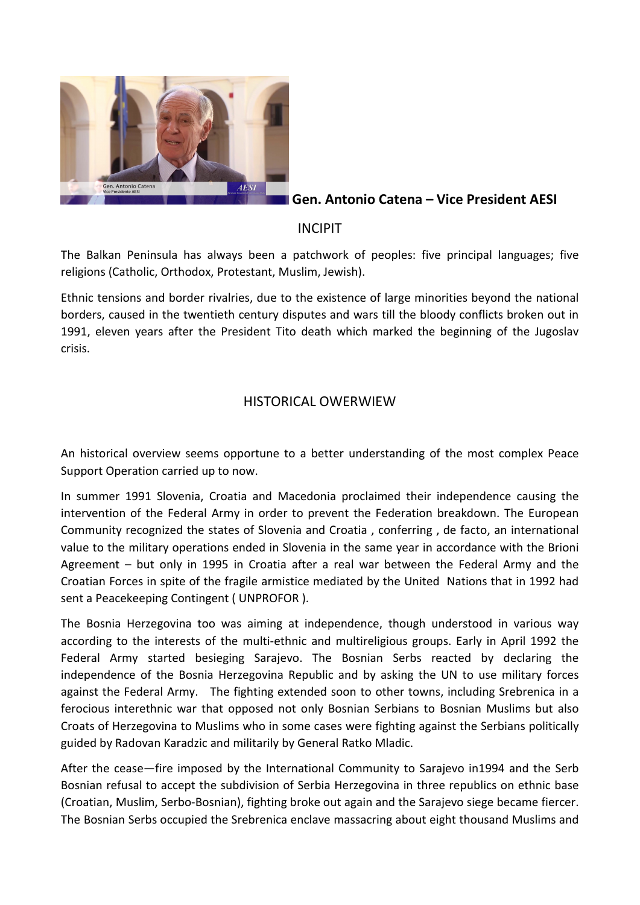

**Gen. Antonio Catena – Vice President AESI**

# INCIPIT

The Balkan Peninsula has always been a patchwork of peoples: five principal languages; five religions (Catholic, Orthodox, Protestant, Muslim, Jewish).

Ethnic tensions and border rivalries, due to the existence of large minorities beyond the national borders, caused in the twentieth century disputes and wars till the bloody conflicts broken out in 1991, eleven years after the President Tito death which marked the beginning of the Jugoslav crisis.

## HISTORICAL OWERWIEW

An historical overview seems opportune to a better understanding of the most complex Peace Support Operation carried up to now.

In summer 1991 Slovenia, Croatia and Macedonia proclaimed their independence causing the intervention of the Federal Army in order to prevent the Federation breakdown. The European Community recognized the states of Slovenia and Croatia , conferring , de facto, an international value to the military operations ended in Slovenia in the same year in accordance with the Brioni Agreement – but only in 1995 in Croatia after a real war between the Federal Army and the Croatian Forces in spite of the fragile armistice mediated by the United Nations that in 1992 had sent a Peacekeeping Contingent ( UNPROFOR ).

The Bosnia Herzegovina too was aiming at independence, though understood in various way according to the interests of the multi-ethnic and multireligious groups. Early in April 1992 the Federal Army started besieging Sarajevo. The Bosnian Serbs reacted by declaring the independence of the Bosnia Herzegovina Republic and by asking the UN to use military forces against the Federal Army. The fighting extended soon to other towns, including Srebrenica in a ferocious interethnic war that opposed not only Bosnian Serbians to Bosnian Muslims but also Croats of Herzegovina to Muslims who in some cases were fighting against the Serbians politically guided by Radovan Karadzic and militarily by General Ratko Mladic.

After the cease—fire imposed by the International Community to Sarajevo in1994 and the Serb Bosnian refusal to accept the subdivision of Serbia Herzegovina in three republics on ethnic base (Croatian, Muslim, Serbo-Bosnian), fighting broke out again and the Sarajevo siege became fiercer. The Bosnian Serbs occupied the Srebrenica enclave massacring about eight thousand Muslims and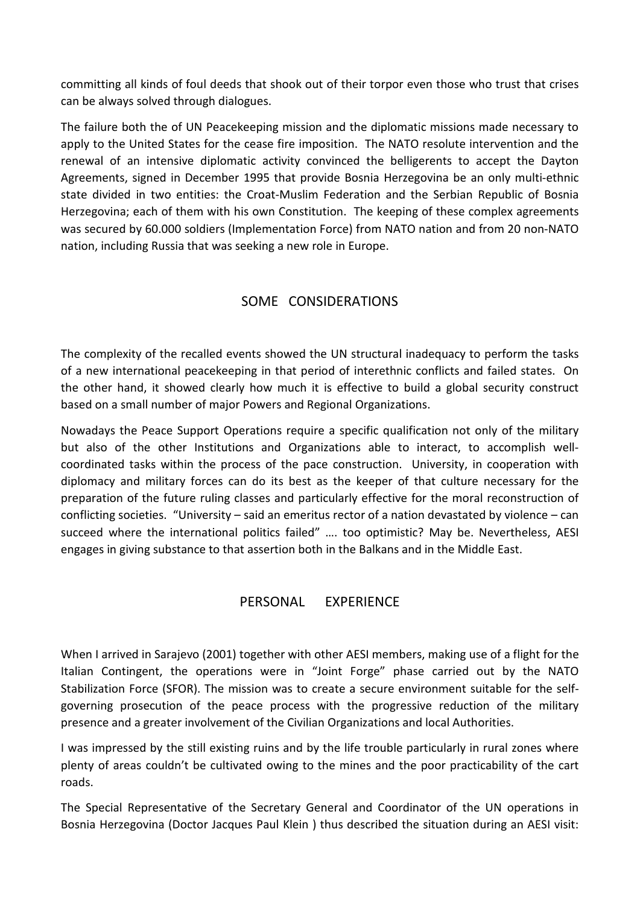committing all kinds of foul deeds that shook out of their torpor even those who trust that crises can be always solved through dialogues.

The failure both the of UN Peacekeeping mission and the diplomatic missions made necessary to apply to the United States for the cease fire imposition. The NATO resolute intervention and the renewal of an intensive diplomatic activity convinced the belligerents to accept the Dayton Agreements, signed in December 1995 that provide Bosnia Herzegovina be an only multi-ethnic state divided in two entities: the Croat-Muslim Federation and the Serbian Republic of Bosnia Herzegovina; each of them with his own Constitution. The keeping of these complex agreements was secured by 60.000 soldiers (Implementation Force) from NATO nation and from 20 non-NATO nation, including Russia that was seeking a new role in Europe.

## SOME CONSIDERATIONS

The complexity of the recalled events showed the UN structural inadequacy to perform the tasks of a new international peacekeeping in that period of interethnic conflicts and failed states. On the other hand, it showed clearly how much it is effective to build a global security construct based on a small number of major Powers and Regional Organizations.

Nowadays the Peace Support Operations require a specific qualification not only of the military but also of the other Institutions and Organizations able to interact, to accomplish wellcoordinated tasks within the process of the pace construction. University, in cooperation with diplomacy and military forces can do its best as the keeper of that culture necessary for the preparation of the future ruling classes and particularly effective for the moral reconstruction of conflicting societies. "University – said an emeritus rector of a nation devastated by violence – can succeed where the international politics failed" …. too optimistic? May be. Nevertheless, AESI engages in giving substance to that assertion both in the Balkans and in the Middle East.

### PERSONAL EXPERIENCE

When I arrived in Sarajevo (2001) together with other AESI members, making use of a flight for the Italian Contingent, the operations were in "Joint Forge" phase carried out by the NATO Stabilization Force (SFOR). The mission was to create a secure environment suitable for the selfgoverning prosecution of the peace process with the progressive reduction of the military presence and a greater involvement of the Civilian Organizations and local Authorities.

I was impressed by the still existing ruins and by the life trouble particularly in rural zones where plenty of areas couldn't be cultivated owing to the mines and the poor practicability of the cart roads.

The Special Representative of the Secretary General and Coordinator of the UN operations in Bosnia Herzegovina (Doctor Jacques Paul Klein ) thus described the situation during an AESI visit: